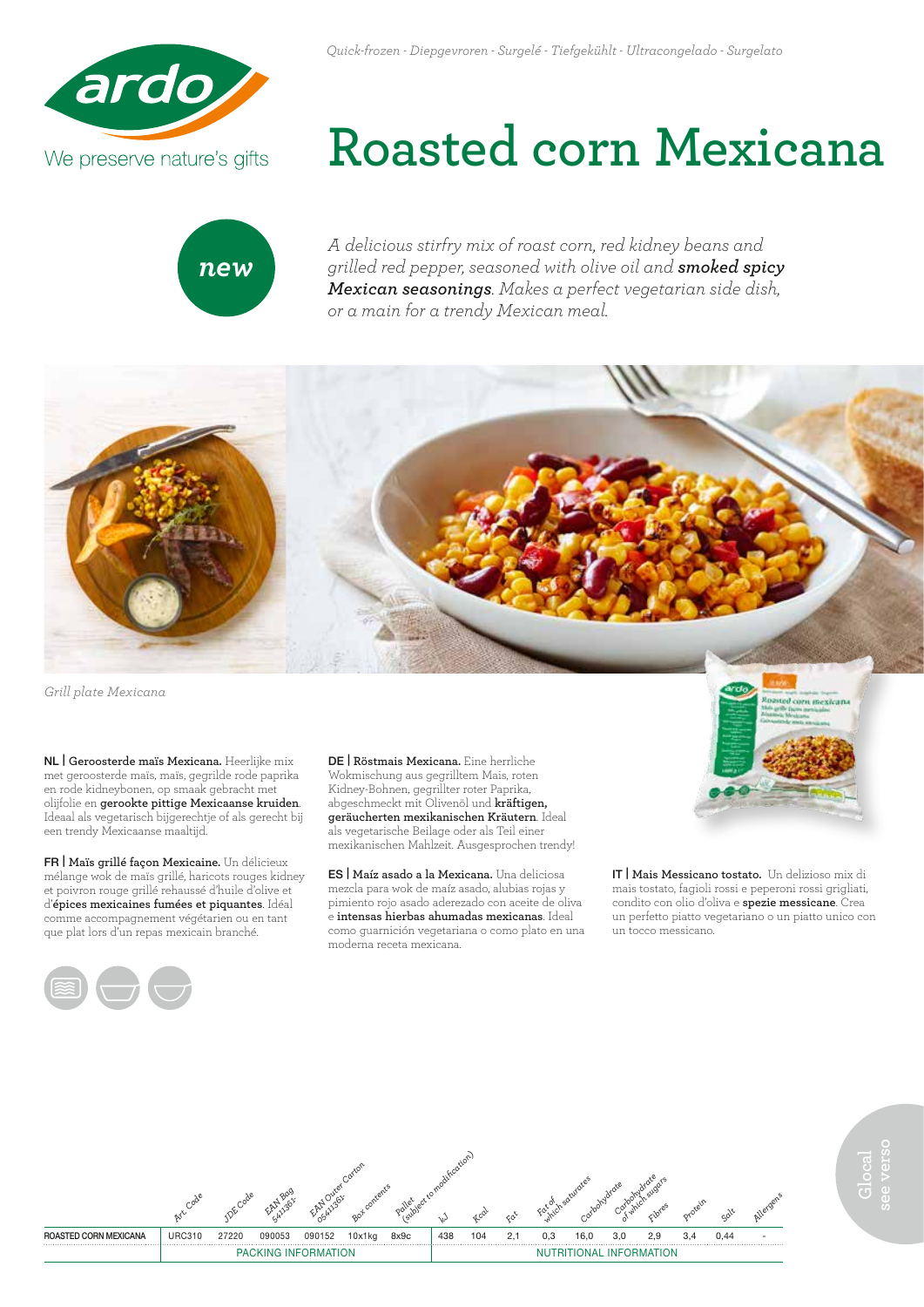



## **Roasted corn Mexicana**

*A delicious stirfry mix of roast corn, red kidney beans and grilled red pepper, seasoned with olive oil and smoked spicy Mexican seasonings. Makes a perfect vegetarian side dish, or a main for a trendy Mexican meal.*



*Grill plate Mexicana*

NL | **Geroosterde maïs Mexicana.** Heerlijke mix met geroosterde maïs, maïs, gegrilde rode paprika en rode kidneybonen, op smaak gebracht met olijfolie en **gerookte pittige Mexicaanse kruiden**. Ideaal als vegetarisch bijgerechtje of als gerecht bij een trendy Mexicaanse maaltijd.

FR | **Maïs grillé façon Mexicaine.** Un délicieux mélange wok de maïs grillé, haricots rouges kidney et poivron rouge grillé rehaussé d'huile d'olive et d'**épices mexicaines fumées et piquantes**. Idéal comme accompagnement végétarien ou en tant que plat lors d'un repas mexicain branché.



DE | **Röstmais Mexicana.** Eine herrliche Wokmischung aus gegrilltem Mais, roten Kidney-Bohnen, gegrillter roter Paprika, abgeschmeckt mit Olivenöl und **kräftigen, geräucherten mexikanischen Kräutern**. Ideal als vegetarische Beilage oder als Teil einer mexikanischen Mahlzeit. Ausgesprochen trendy!

ES | **Maíz asado a la Mexicana.** Una deliciosa mezcla para wok de maíz asado, alubias rojas y pimiento rojo asado aderezado con aceite de oliva e **intensas hierbas ahumadas mexicanas**. Ideal como guarnición vegetariana o como plato en una moderna receta mexicana.

IT | **Mais Messicano tostato.** Un delizioso mix di mais tostato, fagioli rossi e peperoni rossi grigliati, condito con olio d'oliva e **spezie messicane**. Crea un perfetto piatto vegetariano o un piatto unico con un tocco messicano.

ed corn mexi



**Glocal see verso**